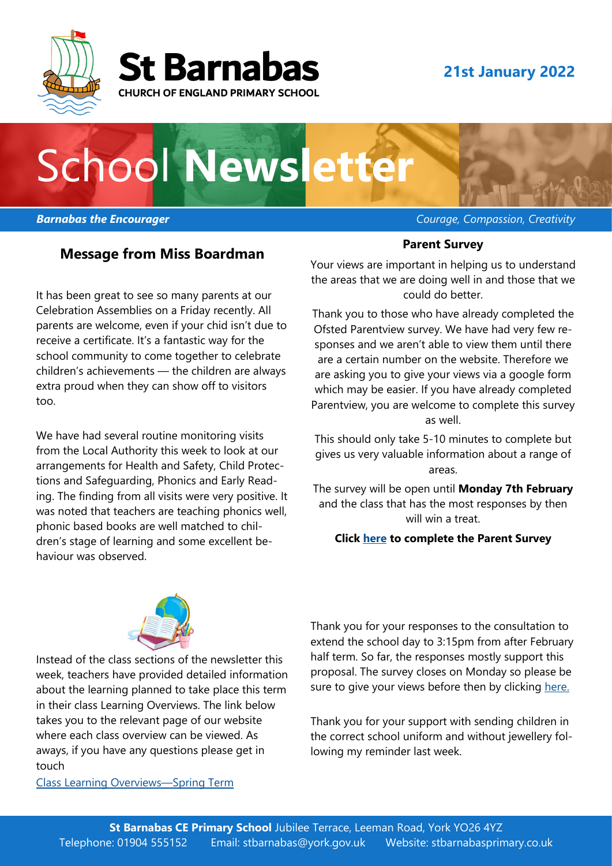



### **21st January 2022**

# School **Newsletter**

#### **Message from Miss Boardman**

It has been great to see so many parents at our Celebration Assemblies on a Friday recently. All parents are welcome, even if your chid isn't due to receive a certificate. It's a fantastic way for the school community to come together to celebrate children's achievements — the children are always extra proud when they can show off to visitors too.

We have had several routine monitoring visits from the Local Authority this week to look at our arrangements for Health and Safety, Child Protections and Safeguarding, Phonics and Early Reading. The finding from all visits were very positive. It was noted that teachers are teaching phonics well, phonic based books are well matched to children's stage of learning and some excellent behaviour was observed.

*Barnabas the Encourager Courage, Compassion, Creativity* 

#### **Parent Survey**

Your views are important in helping us to understand the areas that we are doing well in and those that we could do better.

Thank you to those who have already completed the Ofsted Parentview survey. We have had very few responses and we aren't able to view them until there are a certain number on the website. Therefore we are asking you to give your views via a google form which may be easier. If you have already completed Parentview, you are welcome to complete this survey as well.

This should only take 5-10 minutes to complete but gives us very valuable information about a range of areas.

The survey will be open until **Monday 7th February**  and the class that has the most responses by then will win a treat.

#### **Click [here](https://forms.gle/ygDb4wz7gRBJy26y5) to complete the Parent Survey**



Instead of the class sections of the newsletter this week, teachers have provided detailed information about the learning planned to take place this term in their class Learning Overviews. The link below takes you to the relevant page of our website where each class overview can be viewed. As aways, if you have any questions please get in touch

[Class Learning Overviews—Spring Term](https://stbarnabasprimary.co.uk/curriculum/this-term-we-are-learning/) 

Thank you for your responses to the consultation to extend the school day to 3:15pm from after February half term. So far, the responses mostly support this proposal. The survey closes on Monday so please be sure to give your views before then by clicking [here.](https://stbarnabasprimary.co.uk/wp-content/uploads/2022/01/Parents-Consultation-on-extending-the-length-of-the-school-day.pdf)

Thank you for your support with sending children in the correct school uniform and without jewellery following my reminder last week.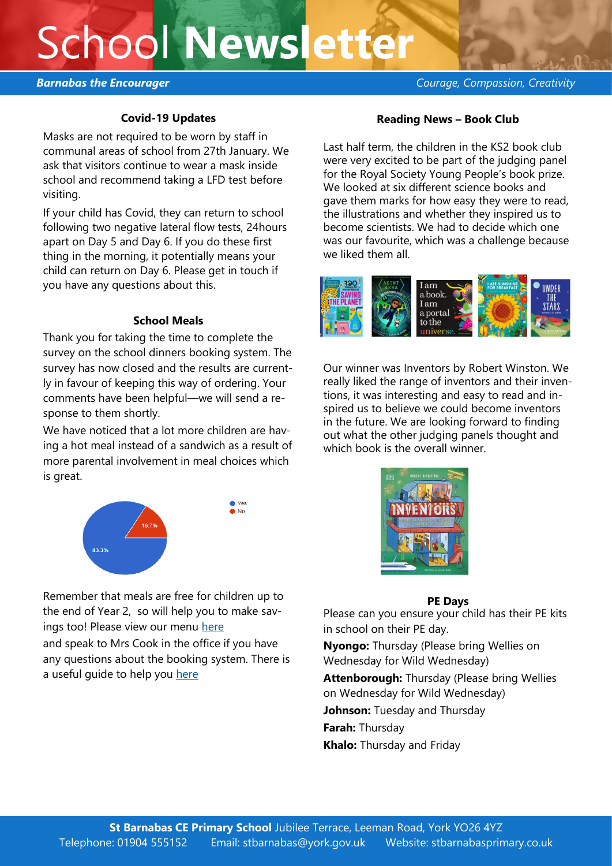### School **Newsletter**

#### **Covid-19 Updates**

Masks are not required to be worn by staff in communal areas of school from 27th January. We ask that visitors continue to wear a mask inside school and recommend taking a LFD test before visiting.

If your child has Covid, they can return to school following two negative lateral flow tests, 24hours apart on Day 5 and Day 6. If you do these first thing in the morning, it potentially means your child can return on Day 6. Please get in touch if you have any questions about this.

#### **School Meals**

Thank you for taking the time to complete the survey on the school dinners booking system. The survey has now closed and the results are currently in favour of keeping this way of ordering. Your comments have been helpful—we will send a response to them shortly.

We have noticed that a lot more children are having a hot meal instead of a sandwich as a result of more parental involvement in meal choices which is great.



Remember that meals are free for children up to the end of Year 2, so will help you to make savings too! Please view our menu [here](https://stbarnabasprimary.co.uk/wp-content/uploads/2021/12/ABM-Autumn-Menu-21.pdf)

and speak to Mrs Cook in the office if you have any questions about the booking system. There is a useful quide to help you [here](https://stbarnabasprimary.co.uk/wp-content/uploads/2021/12/Parent-Pay-How-to-make-meal-or-event-bookings.pdf)

#### **Reading News – Book Club**

Last half term, the children in the KS2 book club were very excited to be part of the judging panel for the Royal Society Young People's book prize. We looked at six different science books and gave them marks for how easy they were to read, the illustrations and whether they inspired us to become scientists. We had to decide which one was our favourite, which was a challenge because we liked them all.



Our winner was Inventors by Robert Winston. We really liked the range of inventors and their inventions, it was interesting and easy to read and inspired us to believe we could become inventors in the future. We are looking forward to finding out what the other judging panels thought and which book is the overall winner.



#### **PE Days**

Please can you ensure your child has their PE kits in school on their PE day.

**Nyongo:** Thursday (Please bring Wellies on Wednesday for Wild Wednesday)

**Attenborough:** Thursday (Please bring Wellies on Wednesday for Wild Wednesday)

**Johnson:** Tuesday and Thursday

**Farah:** Thursday

**Khalo:** Thursday and Friday

*Barnabas the Encourager Courage, Compassion, Creativity*